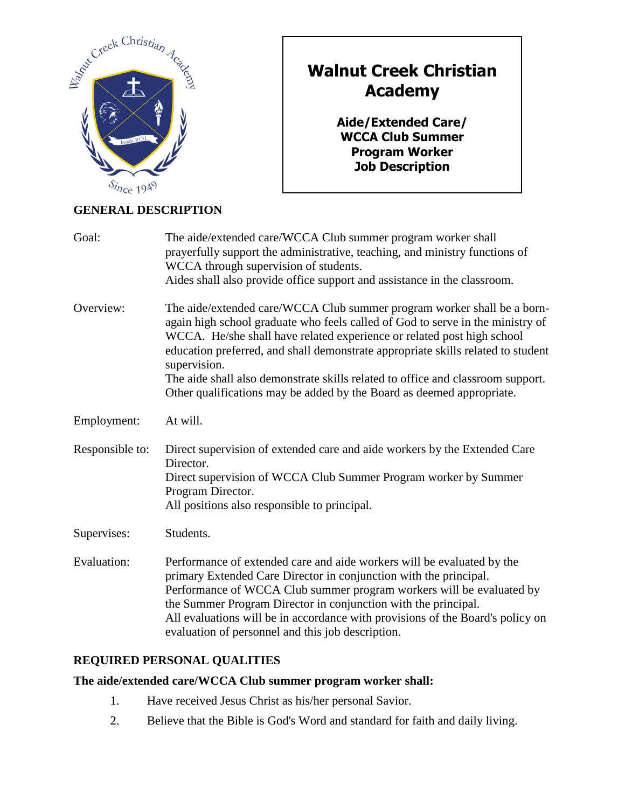

# **Walnut Creek Christian Academy**

**Aide/Extended Care/ WCCA Club Summer Program Worker Job Description**

# **GENERAL DESCRIPTION**

| Goal:           | The aide/extended care/WCCA Club summer program worker shall<br>prayerfully support the administrative, teaching, and ministry functions of<br>WCCA through supervision of students.<br>Aides shall also provide office support and assistance in the classroom.                                                                                                                                                                                                                                    |
|-----------------|-----------------------------------------------------------------------------------------------------------------------------------------------------------------------------------------------------------------------------------------------------------------------------------------------------------------------------------------------------------------------------------------------------------------------------------------------------------------------------------------------------|
| Overview:       | The aide/extended care/WCCA Club summer program worker shall be a born-<br>again high school graduate who feels called of God to serve in the ministry of<br>WCCA. He/she shall have related experience or related post high school<br>education preferred, and shall demonstrate appropriate skills related to student<br>supervision.<br>The aide shall also demonstrate skills related to office and classroom support.<br>Other qualifications may be added by the Board as deemed appropriate. |
| Employment:     | At will.                                                                                                                                                                                                                                                                                                                                                                                                                                                                                            |
| Responsible to: | Direct supervision of extended care and aide workers by the Extended Care<br>Director.<br>Direct supervision of WCCA Club Summer Program worker by Summer<br>Program Director.<br>All positions also responsible to principal.                                                                                                                                                                                                                                                                      |
| Supervises:     | Students.                                                                                                                                                                                                                                                                                                                                                                                                                                                                                           |
| Evaluation:     | Performance of extended care and aide workers will be evaluated by the<br>primary Extended Care Director in conjunction with the principal.<br>Performance of WCCA Club summer program workers will be evaluated by<br>the Summer Program Director in conjunction with the principal.<br>All evaluations will be in accordance with provisions of the Board's policy on<br>evaluation of personnel and this job description.                                                                        |

# **REQUIRED PERSONAL QUALITIES**

# **The aide/extended care/WCCA Club summer program worker shall:**

- 1. Have received Jesus Christ as his/her personal Savior.
- 2. Believe that the Bible is God's Word and standard for faith and daily living.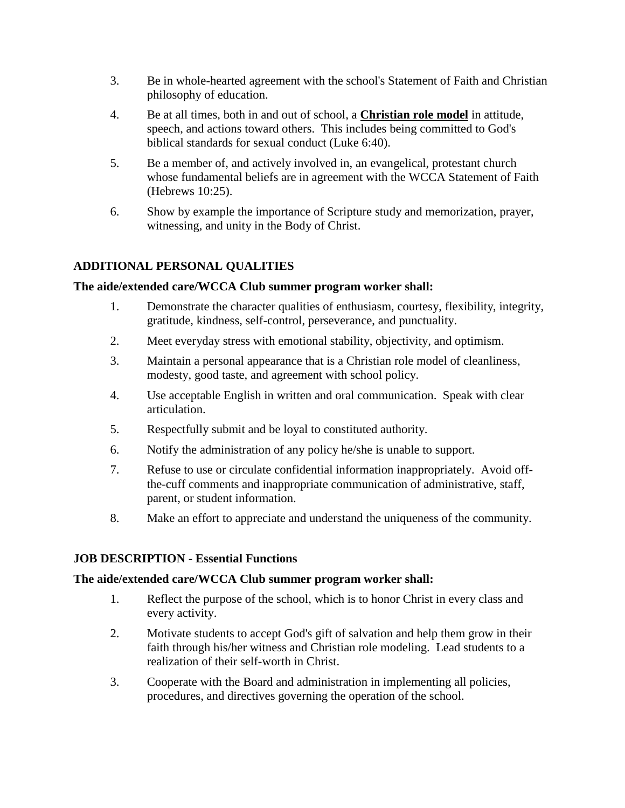- 3. Be in whole-hearted agreement with the school's Statement of Faith and Christian philosophy of education.
- 4. Be at all times, both in and out of school, a **Christian role model** in attitude, speech, and actions toward others. This includes being committed to God's biblical standards for sexual conduct (Luke 6:40).
- 5. Be a member of, and actively involved in, an evangelical, protestant church whose fundamental beliefs are in agreement with the WCCA Statement of Faith (Hebrews 10:25).
- 6. Show by example the importance of Scripture study and memorization, prayer, witnessing, and unity in the Body of Christ.

## **ADDITIONAL PERSONAL QUALITIES**

#### **The aide/extended care/WCCA Club summer program worker shall:**

- 1. Demonstrate the character qualities of enthusiasm, courtesy, flexibility, integrity, gratitude, kindness, self-control, perseverance, and punctuality.
- 2. Meet everyday stress with emotional stability, objectivity, and optimism.
- 3. Maintain a personal appearance that is a Christian role model of cleanliness, modesty, good taste, and agreement with school policy.
- 4. Use acceptable English in written and oral communication. Speak with clear articulation.
- 5. Respectfully submit and be loyal to constituted authority.
- 6. Notify the administration of any policy he/she is unable to support.
- 7. Refuse to use or circulate confidential information inappropriately. Avoid offthe-cuff comments and inappropriate communication of administrative, staff, parent, or student information.
- 8. Make an effort to appreciate and understand the uniqueness of the community.

#### **JOB DESCRIPTION** - **Essential Functions**

#### **The aide/extended care/WCCA Club summer program worker shall:**

- 1. Reflect the purpose of the school, which is to honor Christ in every class and every activity.
- 2. Motivate students to accept God's gift of salvation and help them grow in their faith through his/her witness and Christian role modeling. Lead students to a realization of their self-worth in Christ.
- 3. Cooperate with the Board and administration in implementing all policies, procedures, and directives governing the operation of the school.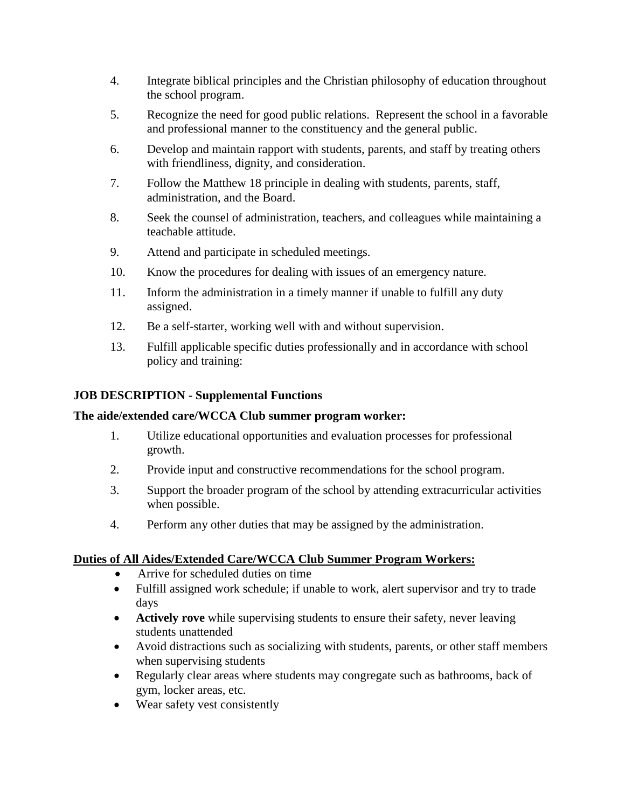- 4. Integrate biblical principles and the Christian philosophy of education throughout the school program.
- 5. Recognize the need for good public relations. Represent the school in a favorable and professional manner to the constituency and the general public.
- 6. Develop and maintain rapport with students, parents, and staff by treating others with friendliness, dignity, and consideration.
- 7. Follow the Matthew 18 principle in dealing with students, parents, staff, administration, and the Board.
- 8. Seek the counsel of administration, teachers, and colleagues while maintaining a teachable attitude.
- 9. Attend and participate in scheduled meetings.
- 10. Know the procedures for dealing with issues of an emergency nature.
- 11. Inform the administration in a timely manner if unable to fulfill any duty assigned.
- 12. Be a self-starter, working well with and without supervision.
- 13. Fulfill applicable specific duties professionally and in accordance with school policy and training:

## **JOB DESCRIPTION - Supplemental Functions**

#### **The aide/extended care/WCCA Club summer program worker:**

- 1. Utilize educational opportunities and evaluation processes for professional growth.
- 2. Provide input and constructive recommendations for the school program.
- 3. Support the broader program of the school by attending extracurricular activities when possible.
- 4. Perform any other duties that may be assigned by the administration.

#### **Duties of All Aides/Extended Care/WCCA Club Summer Program Workers:**

- Arrive for scheduled duties on time
- Fulfill assigned work schedule; if unable to work, alert supervisor and try to trade days
- **Actively rove** while supervising students to ensure their safety, never leaving students unattended
- Avoid distractions such as socializing with students, parents, or other staff members when supervising students
- Regularly clear areas where students may congregate such as bathrooms, back of gym, locker areas, etc.
- Wear safety vest consistently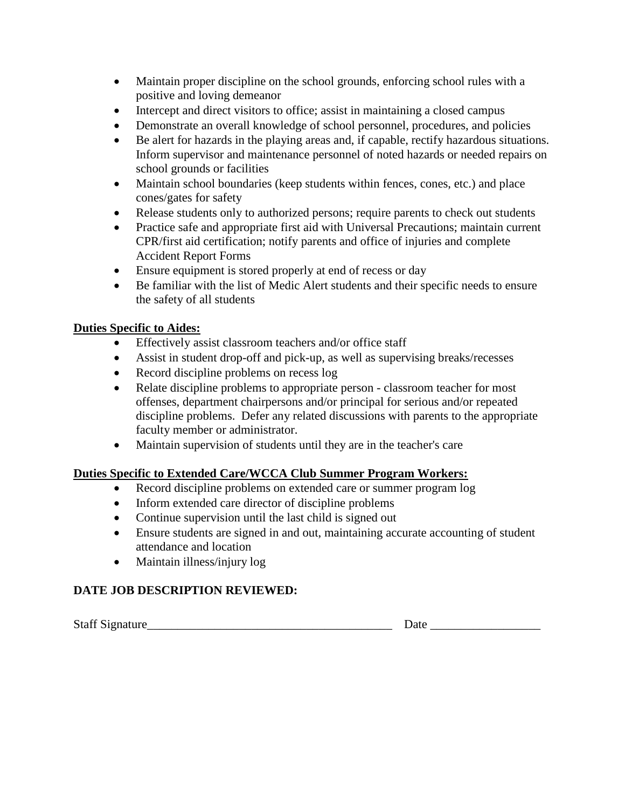- Maintain proper discipline on the school grounds, enforcing school rules with a positive and loving demeanor
- Intercept and direct visitors to office; assist in maintaining a closed campus
- Demonstrate an overall knowledge of school personnel, procedures, and policies
- Be alert for hazards in the playing areas and, if capable, rectify hazardous situations. Inform supervisor and maintenance personnel of noted hazards or needed repairs on school grounds or facilities
- Maintain school boundaries (keep students within fences, cones, etc.) and place cones/gates for safety
- Release students only to authorized persons; require parents to check out students
- Practice safe and appropriate first aid with Universal Precautions; maintain current CPR/first aid certification; notify parents and office of injuries and complete Accident Report Forms
- Ensure equipment is stored properly at end of recess or day
- Be familiar with the list of Medic Alert students and their specific needs to ensure the safety of all students

## **Duties Specific to Aides:**

- Effectively assist classroom teachers and/or office staff
- Assist in student drop-off and pick-up, as well as supervising breaks/recesses
- Record discipline problems on recess log
- Relate discipline problems to appropriate person classroom teacher for most offenses, department chairpersons and/or principal for serious and/or repeated discipline problems. Defer any related discussions with parents to the appropriate faculty member or administrator.
- Maintain supervision of students until they are in the teacher's care

## **Duties Specific to Extended Care/WCCA Club Summer Program Workers:**

- Record discipline problems on extended care or summer program log
- Inform extended care director of discipline problems
- Continue supervision until the last child is signed out
- Ensure students are signed in and out, maintaining accurate accounting of student attendance and location
- Maintain illness/injury log

## **DATE JOB DESCRIPTION REVIEWED:**

Staff Signature\_\_\_\_\_\_\_\_\_\_\_\_\_\_\_\_\_\_\_\_\_\_\_\_\_\_\_\_\_\_\_\_\_\_\_\_\_\_\_\_ Date \_\_\_\_\_\_\_\_\_\_\_\_\_\_\_\_\_\_